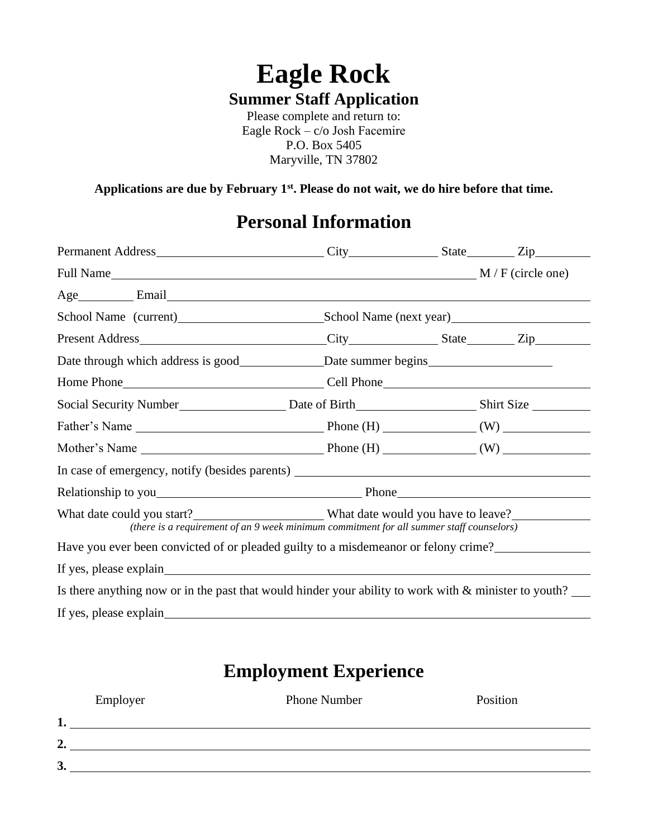# **Eagle Rock Summer Staff Application**

Please complete and return to: Eagle Rock – c/o Josh Facemire P.O. Box 5405 Maryville, TN 37802

**Applications are due by February 1st. Please do not wait, we do hire before that time.** 

# **Personal Information**

|  |  | Permanent Address City City State Zip<br>Father's Name $\_\_\_\_\_\_\_\_\$ Phone (H) $\_\_\_\_\_\_\_$ (W) $\_\_\_\_\_\_\_\_\_\_\_$<br>In case of emergency, notify (besides parents) __________________________________<br>(there is a requirement of an 9 week minimum commitment for all summer staff counselors)<br>Have you ever been convicted of or pleaded guilty to a misdemeanor or felony crime?<br>Is there anything now or in the past that would hinder your ability to work with $\&$ minister to youth? |  |  |  |  |
|--|--|------------------------------------------------------------------------------------------------------------------------------------------------------------------------------------------------------------------------------------------------------------------------------------------------------------------------------------------------------------------------------------------------------------------------------------------------------------------------------------------------------------------------|--|--|--|--|

## **Employment Experience**

|                | Employer | <b>Phone Number</b> | Position |
|----------------|----------|---------------------|----------|
|                |          |                     |          |
| $\overline{2}$ |          |                     |          |
| 3 <sub>o</sub> |          |                     |          |
|                |          |                     |          |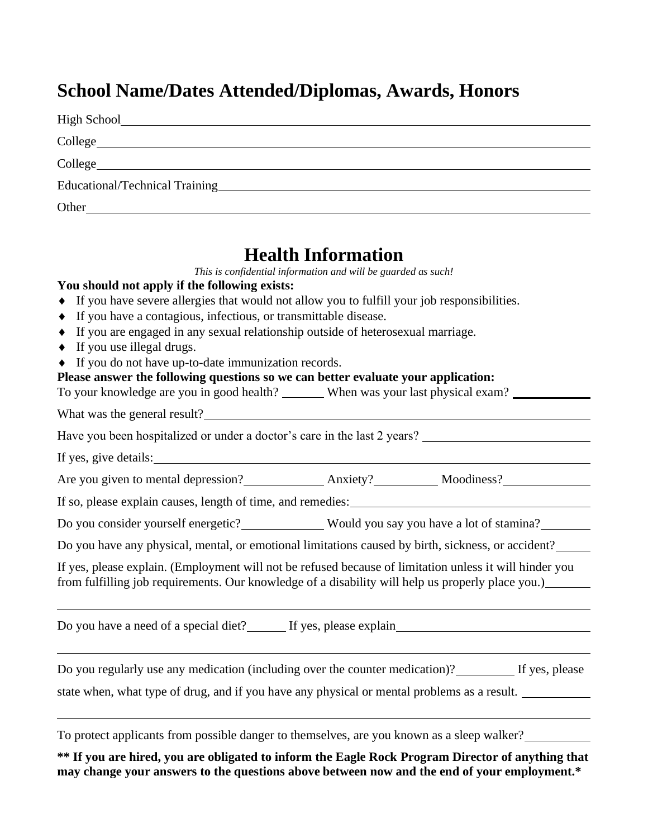# **School Name/Dates Attended/Diplomas, Awards, Honors**

| Other |
|-------|

### **Health Information**

*This is confidential information and will be guarded as such!*

#### **You should not apply if the following exists:**

- If you have severe allergies that would not allow you to fulfill your job responsibilities.
- If you have a contagious, infectious, or transmittable disease.
- If you are engaged in any sexual relationship outside of heterosexual marriage.
- $\bullet$  If you use illegal drugs.
- If you do not have up-to-date immunization records.

#### **Please answer the following questions so we can better evaluate your application:**

| To your knowledge are you in good health?<br>When was your last physical exam? |
|--------------------------------------------------------------------------------|
|--------------------------------------------------------------------------------|

What was the general result?

Have you been hospitalized or under a doctor's care in the last 2 years?

If yes, give details:

Are you given to mental depression?<br>Anxiety? Moodiness?

If so, please explain causes, length of time, and remedies:

Do you consider yourself energetic? Would you say you have a lot of stamina?

Do you have any physical, mental, or emotional limitations caused by birth, sickness, or accident?

If yes, please explain. (Employment will not be refused because of limitation unless it will hinder you from fulfilling job requirements. Our knowledge of a disability will help us properly place you.)

| Do you have a need of a special diet? | If yes, please explain |
|---------------------------------------|------------------------|
|                                       |                        |

Do you regularly use any medication (including over the counter medication)? If yes, please state when, what type of drug, and if you have any physical or mental problems as a result.

To protect applicants from possible danger to themselves, are you known as a sleep walker?

**\*\* If you are hired, you are obligated to inform the Eagle Rock Program Director of anything that may change your answers to the questions above between now and the end of your employment.\***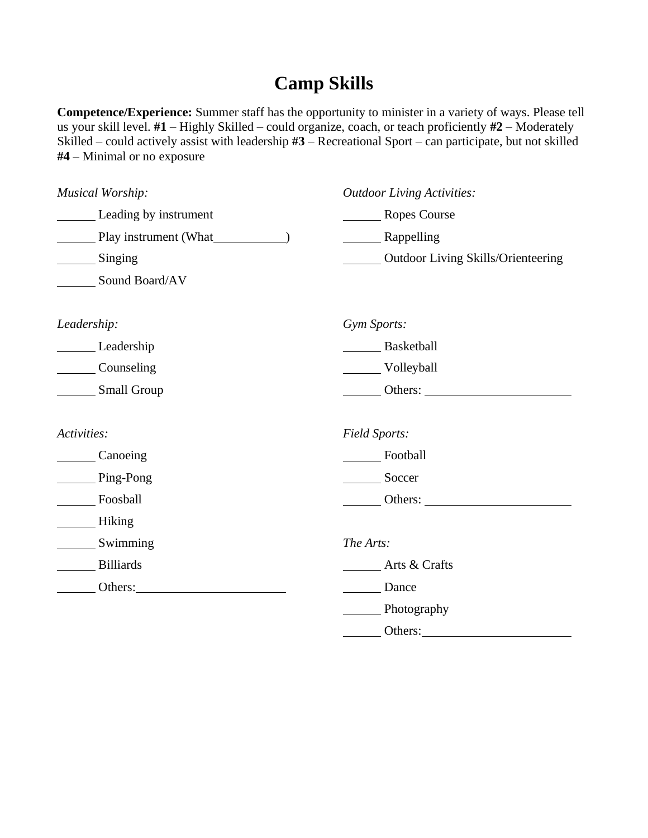## **Camp Skills**

**Competence/Experience:** Summer staff has the opportunity to minister in a variety of ways. Please tell us your skill level. **#1** – Highly Skilled – could organize, coach, or teach proficiently **#2** – Moderately Skilled – could actively assist with leadership **#3** – Recreational Sport – can participate, but not skilled **#4** – Minimal or no exposure

| <b>Musical Worship:</b>                 | <b>Outdoor Living Activities:</b>                           |
|-----------------------------------------|-------------------------------------------------------------|
| <b>Example 1</b> Leading by instrument  | Ropes Course                                                |
|                                         | Rappelling                                                  |
| $\frac{\text{Singing}}{\text{Singing}}$ | <b>COULD COULD COULD</b> Outdoor Living Skills/Orienteering |
| Sound Board/AV                          |                                                             |
| Leadership:                             | Gym Sports:                                                 |
| Leadership                              | Basketball                                                  |
| Counseling                              | Volleyball                                                  |
| Small Group                             | Others:                                                     |
| Activities:                             | Field Sports:                                               |
| Canoeing                                | Football                                                    |
| Ping-Pong                               | Soccer                                                      |
| Foosball                                | Others:                                                     |
| <b>Example 2</b> Hiking                 |                                                             |
| Swimming                                | The Arts:                                                   |
| Billiards                               | Arts & Crafts                                               |
| Others: Others:                         | Dance                                                       |
|                                         | Photography                                                 |
|                                         | Others:                                                     |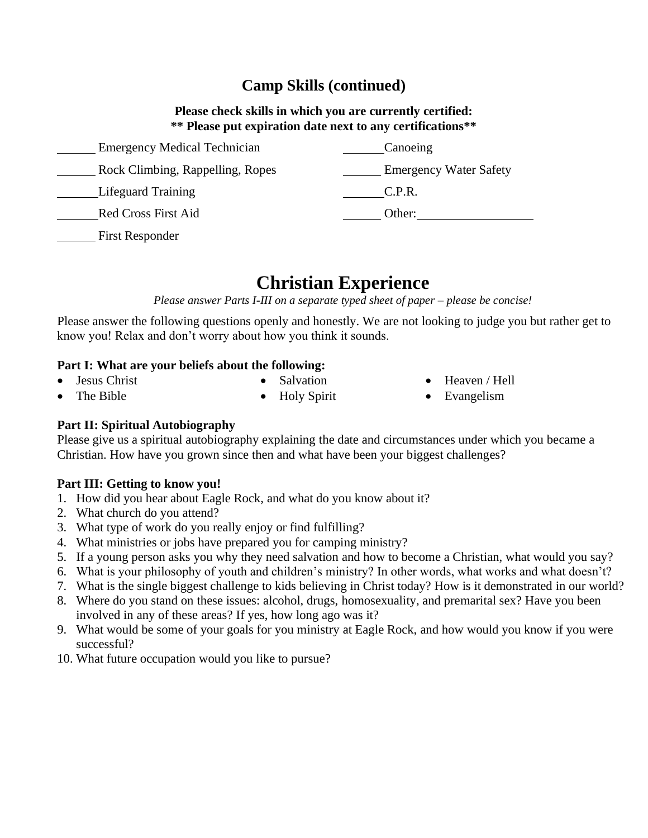### **Camp Skills (continued)**

#### **Please check skills in which you are currently certified: \*\* Please put expiration date next to any certifications\*\***

| <b>Emergency Medical Technician</b> | Canoeing                      |
|-------------------------------------|-------------------------------|
| Rock Climbing, Rappelling, Ropes    | <b>Emergency Water Safety</b> |
| <b>Lifeguard Training</b>           | C.P.R.                        |
| <b>Red Cross First Aid</b>          | Other:                        |
| <b>First Responder</b>              |                               |

### **Christian Experience**

*Please answer Parts I-III on a separate typed sheet of paper – please be concise!*

Please answer the following questions openly and honestly. We are not looking to judge you but rather get to know you! Relax and don't worry about how you think it sounds.

#### **Part I: What are your beliefs about the following:**

Jesus Christ The Bible

- Salvation • Holy Spirit
- Heaven / Hell
- Evangelism

### **Part II: Spiritual Autobiography**

Please give us a spiritual autobiography explaining the date and circumstances under which you became a Christian. How have you grown since then and what have been your biggest challenges?

### **Part III: Getting to know you!**

- 1. How did you hear about Eagle Rock, and what do you know about it?
- 2. What church do you attend?
- 3. What type of work do you really enjoy or find fulfilling?
- 4. What ministries or jobs have prepared you for camping ministry?
- 5. If a young person asks you why they need salvation and how to become a Christian, what would you say?
- 6. What is your philosophy of youth and children's ministry? In other words, what works and what doesn't?
- 7. What is the single biggest challenge to kids believing in Christ today? How is it demonstrated in our world?
- 8. Where do you stand on these issues: alcohol, drugs, homosexuality, and premarital sex? Have you been involved in any of these areas? If yes, how long ago was it?
- 9. What would be some of your goals for you ministry at Eagle Rock, and how would you know if you were successful?
- 10. What future occupation would you like to pursue?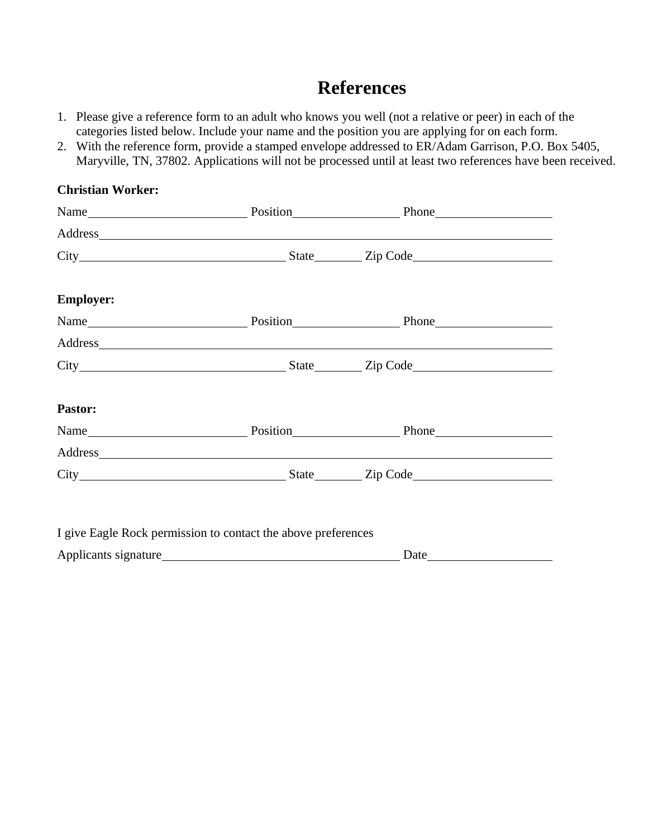# **References**

- 1. Please give a reference form to an adult who knows you well (not a relative or peer) in each of the categories listed below. Include your name and the position you are applying for on each form.
- 2. With the reference form, provide a stamped envelope addressed to ER/Adam Garrison, P.O. Box 5405, Maryville, TN, 37802. Applications will not be processed until at least two references have been received.

| Address                                                                                                                                                                                                                        |  |
|--------------------------------------------------------------------------------------------------------------------------------------------------------------------------------------------------------------------------------|--|
|                                                                                                                                                                                                                                |  |
| <b>Employer:</b>                                                                                                                                                                                                               |  |
|                                                                                                                                                                                                                                |  |
| Address and the contract of the contract of the contract of the contract of the contract of the contract of the contract of the contract of the contract of the contract of the contract of the contract of the contract of th |  |
|                                                                                                                                                                                                                                |  |
| Pastor:                                                                                                                                                                                                                        |  |
|                                                                                                                                                                                                                                |  |
| Address and the contract of the contract of the contract of the contract of the contract of the contract of the contract of the contract of the contract of the contract of the contract of the contract of the contract of th |  |
|                                                                                                                                                                                                                                |  |

| Applicants signature | Date |  |
|----------------------|------|--|
|                      |      |  |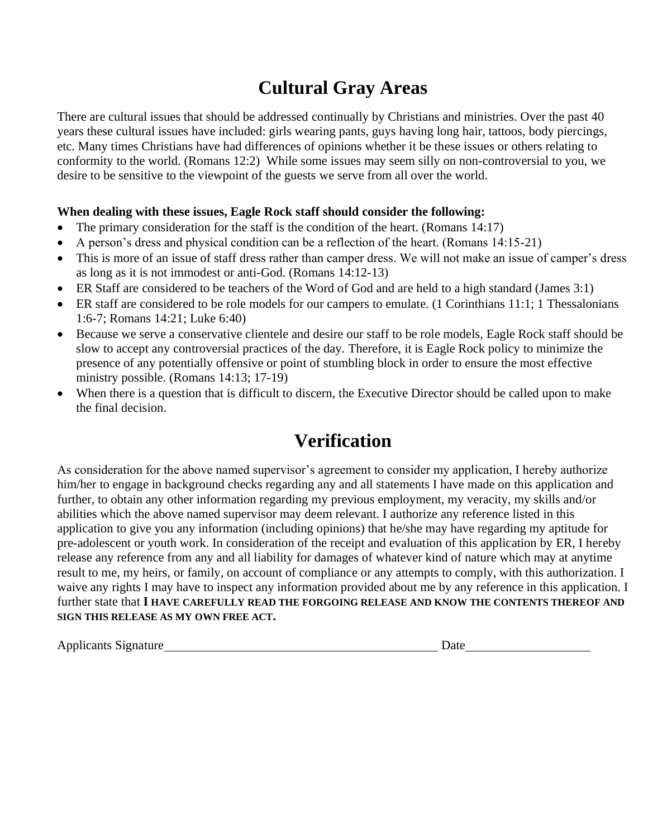# **Cultural Gray Areas**

There are cultural issues that should be addressed continually by Christians and ministries. Over the past 40 years these cultural issues have included: girls wearing pants, guys having long hair, tattoos, body piercings, etc. Many times Christians have had differences of opinions whether it be these issues or others relating to conformity to the world. (Romans 12:2) While some issues may seem silly on non-controversial to you, we desire to be sensitive to the viewpoint of the guests we serve from all over the world.

### **When dealing with these issues, Eagle Rock staff should consider the following:**

- The primary consideration for the staff is the condition of the heart. (Romans 14:17)
- A person's dress and physical condition can be a reflection of the heart. (Romans 14:15-21)
- This is more of an issue of staff dress rather than camper dress. We will not make an issue of camper's dress as long as it is not immodest or anti-God. (Romans 14:12-13)
- ER Staff are considered to be teachers of the Word of God and are held to a high standard (James 3:1)
- ER staff are considered to be role models for our campers to emulate. (1 Corinthians 11:1; 1 Thessalonians 1:6-7; Romans 14:21; Luke 6:40)
- Because we serve a conservative clientele and desire our staff to be role models, Eagle Rock staff should be slow to accept any controversial practices of the day. Therefore, it is Eagle Rock policy to minimize the presence of any potentially offensive or point of stumbling block in order to ensure the most effective ministry possible. (Romans 14:13; 17-19)
- When there is a question that is difficult to discern, the Executive Director should be called upon to make the final decision.

# **Verification**

As consideration for the above named supervisor's agreement to consider my application, I hereby authorize him/her to engage in background checks regarding any and all statements I have made on this application and further, to obtain any other information regarding my previous employment, my veracity, my skills and/or abilities which the above named supervisor may deem relevant. I authorize any reference listed in this application to give you any information (including opinions) that he/she may have regarding my aptitude for pre-adolescent or youth work. In consideration of the receipt and evaluation of this application by ER, I hereby release any reference from any and all liability for damages of whatever kind of nature which may at anytime result to me, my heirs, or family, on account of compliance or any attempts to comply, with this authorization. I waive any rights I may have to inspect any information provided about me by any reference in this application. I further state that **I HAVE CAREFULLY READ THE FORGOING RELEASE AND KNOW THE CONTENTS THEREOF AND SIGN THIS RELEASE AS MY OWN FREE ACT.**

Applicants Signature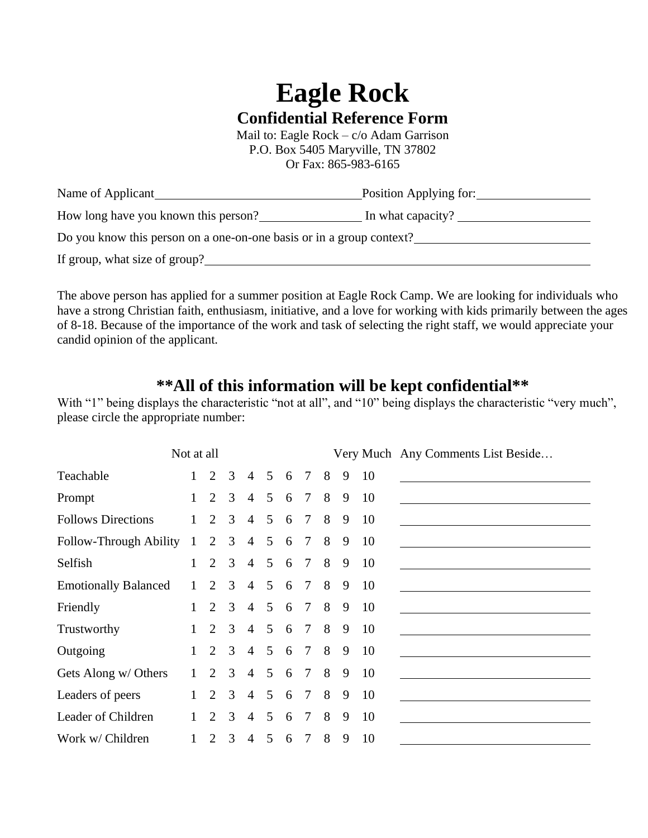# **Eagle Rock Confidential Reference Form**

Mail to: Eagle Rock – c/o Adam Garrison P.O. Box 5405 Maryville, TN 37802 Or Fax: 865-983-6165

| Name of Applicant                                                    | Position Applying for: |
|----------------------------------------------------------------------|------------------------|
| How long have you known this person?                                 | In what capacity?      |
| Do you know this person on a one-on-one basis or in a group context? |                        |
| If group, what size of group?                                        |                        |

The above person has applied for a summer position at Eagle Rock Camp. We are looking for individuals who have a strong Christian faith, enthusiasm, initiative, and a love for working with kids primarily between the ages of 8-18. Because of the importance of the work and task of selecting the right staff, we would appreciate your candid opinion of the applicant.

### **\*\*All of this information will be kept confidential\*\***

With "1" being displays the characteristic "not at all", and "10" being displays the characteristic "very much", please circle the appropriate number:

|                             | Not at all   |                             |                |                |                |   |                 |   |   |    | Very Much Any Comments List Beside |
|-----------------------------|--------------|-----------------------------|----------------|----------------|----------------|---|-----------------|---|---|----|------------------------------------|
| Teachable                   |              | $\mathcal{D}_{\mathcal{L}}$ | 3              | $\overline{4}$ | $\mathfrak{H}$ | 6 | $\overline{7}$  | 8 | 9 | 10 |                                    |
| Prompt                      |              | $\overline{2}$              | 3              | $\overline{4}$ | $5^{\circ}$    | 6 | $7\overline{ }$ | 8 | 9 | 10 |                                    |
| <b>Follows Directions</b>   |              | $\overline{2}$              | 3              | $\overline{4}$ | 5              | 6 | $\overline{7}$  | 8 | 9 | 10 |                                    |
| Follow-Through Ability 1    |              | 2                           | $\overline{3}$ | $\overline{4}$ | $\mathfrak{S}$ | 6 | $\tau$          | 8 | 9 | 10 |                                    |
| Selfish                     |              | $\overline{2}$              | $\mathcal{E}$  | $\overline{4}$ | $\mathfrak{S}$ | 6 | $7\phantom{.0}$ | 8 | 9 | 10 |                                    |
| <b>Emotionally Balanced</b> | $\mathbf{1}$ | $\mathcal{D}_{\mathcal{L}}$ | $\overline{3}$ | $\overline{4}$ | $\mathfrak{S}$ | 6 | $7\phantom{.0}$ | 8 | 9 | 10 |                                    |
| Friendly                    |              | $\overline{2}$              | $\overline{3}$ | $\overline{4}$ | 5              | 6 | $\tau$          | 8 | 9 | 10 |                                    |
| Trustworthy                 |              | $\mathcal{D}_{\mathcal{L}}$ | $\mathcal{E}$  | $\overline{4}$ | $\mathfrak{H}$ | 6 | $\tau$          | 8 | 9 | 10 |                                    |
| Outgoing                    |              | 2                           | $\mathcal{E}$  | $\overline{4}$ | $\mathfrak{S}$ | 6 | $7\phantom{.0}$ | 8 | 9 | 10 |                                    |
| Gets Along w/ Others        |              | 2                           | 3              | $\overline{4}$ | 5              | 6 | $\tau$          | 8 | 9 | 10 |                                    |
| Leaders of peers            |              | $\mathcal{D}_{\mathcal{L}}$ | 3              | $\overline{4}$ | 5              | 6 | $\tau$          | 8 | 9 | 10 |                                    |
| Leader of Children          |              | $\overline{2}$              | 3              | $\overline{4}$ | $\mathfrak{S}$ | 6 | $\tau$          | 8 | 9 | 10 |                                    |
| Work w/ Children            |              | 2                           | 3              | $\overline{4}$ | 5              | 6 | $\tau$          | 8 | 9 | 10 |                                    |